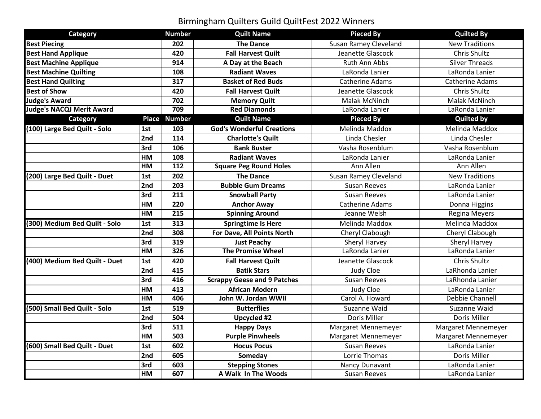## Birmingham Quilters Guild QuiltFest 2022 Winners

| Category                         |     | <b>Number</b>    | <b>Quilt Name</b>                  | <b>Pieced By</b>             | <b>Quilted By</b>     |
|----------------------------------|-----|------------------|------------------------------------|------------------------------|-----------------------|
| <b>Best Piecing</b>              |     | 202              | <b>The Dance</b>                   | <b>Susan Ramey Cleveland</b> | <b>New Traditions</b> |
| <b>Best Hand Applique</b>        |     | 420              | <b>Fall Harvest Quilt</b>          | Jeanette Glascock            | Chris Shultz          |
| <b>Best Machine Applique</b>     |     | 914              | A Day at the Beach                 | Ruth Ann Abbs                | <b>Silver Threads</b> |
| <b>Best Machine Quilting</b>     |     | 108              | <b>Radiant Waves</b>               | LaRonda Lanier               | LaRonda Lanier        |
| <b>Best Hand Quilting</b>        |     | 317              | <b>Basket of Red Buds</b>          | <b>Catherine Adams</b>       | Catherine Adams       |
| <b>Best of Show</b>              |     | 420              | <b>Fall Harvest Quilt</b>          | Jeanette Glascock            | Chris Shultz          |
| <b>Judge's Award</b>             |     | 702              | <b>Memory Quilt</b>                | Malak McNinch                | Malak McNinch         |
| <b>Judge's NACQJ Merit Award</b> |     | 709              | <b>Red Diamonds</b>                | LaRonda Lanier               | LaRonda Lanier        |
| Category                         |     | Place Number     | <b>Quilt Name</b>                  | <b>Pieced By</b>             | <b>Quilted by</b>     |
| (100) Large Bed Quilt - Solo     | 1st | 103              | <b>God's Wonderful Creations</b>   | Melinda Maddox               | Melinda Maddox        |
|                                  | 2nd | 114              | <b>Charlotte's Quilt</b>           | Linda Chesler                | Linda Chesler         |
|                                  | 3rd | 106              | <b>Bank Buster</b>                 | Vasha Rosenblum              | Vasha Rosenblum       |
|                                  | HM  | 108              | <b>Radiant Waves</b>               | LaRonda Lanier               | LaRonda Lanier        |
|                                  | HM  | 112              | <b>Square Peg Round Holes</b>      | Ann Allen                    | Ann Allen             |
| (200) Large Bed Quilt - Duet     | 1st | $\overline{202}$ | <b>The Dance</b>                   | Susan Ramey Cleveland        | <b>New Traditions</b> |
|                                  | 2nd | 203              | <b>Bubble Gum Dreams</b>           | <b>Susan Reeves</b>          | LaRonda Lanier        |
|                                  | 3rd | 211              | <b>Snowball Party</b>              | <b>Susan Reeves</b>          | LaRonda Lanier        |
|                                  | HM  | 220              | <b>Anchor Away</b>                 | Catherine Adams              | Donna Higgins         |
|                                  | H M | 215              | <b>Spinning Around</b>             | Jeanne Welsh                 | Regina Meyers         |
| (300) Medium Bed Quilt - Solo    | 1st | 313              | <b>Springtime Is Here</b>          | Melinda Maddox               | Melinda Maddox        |
|                                  | 2nd | 308              | For Dave, All Points North         | Cheryl Clabough              | Cheryl Clabough       |
|                                  | 3rd | 319              | <b>Just Peachy</b>                 | Sheryl Harvey                | Sheryl Harvey         |
|                                  | H M | 326              | <b>The Promise Wheel</b>           | LaRonda Lanier               | LaRonda Lanier        |
| (400) Medium Bed Quilt - Duet    | 1st | 420              | <b>Fall Harvest Quilt</b>          | Jeanette Glascock            | Chris Shultz          |
|                                  | 2nd | 415              | <b>Batik Stars</b>                 | Judy Cloe                    | LaRhonda Lanier       |
|                                  | 3rd | 416              | <b>Scrappy Geese and 9 Patches</b> | <b>Susan Reeves</b>          | LaRhonda Lanier       |
|                                  | HM  | 413              | <b>African Modern</b>              | Judy Cloe                    | LaRonda Lanier        |
|                                  | H M | 406              | John W. Jordan WWII                | Carol A. Howard              | Debbie Channell       |
| (500) Small Bed Quilt - Solo     | 1st | 519              | <b>Butterflies</b>                 | Suzanne Waid                 | Suzanne Waid          |
|                                  | 2nd | 504              | <b>Upcycled #2</b>                 | Doris Miller                 | Doris Miller          |
|                                  | 3rd | $\overline{511}$ | <b>Happy Days</b>                  | Margaret Mennemeyer          | Margaret Mennemeyer   |
|                                  | HM  | 503              | <b>Purple Pinwheels</b>            | Margaret Mennemeyer          | Margaret Mennemeyer   |
| (600) Small Bed Quilt - Duet     | 1st | 602              | <b>Hocus Pocus</b>                 | <b>Susan Reeves</b>          | LaRonda Lanier        |
|                                  | 2nd | 605              | Someday                            | Lorrie Thomas                | Doris Miller          |
|                                  | 3rd | 603              | <b>Stepping Stones</b>             | Nancy Dunavant               | LaRonda Lanier        |
|                                  | HM  | 607              | A Walk In The Woods                | <b>Susan Reeves</b>          | LaRonda Lanier        |